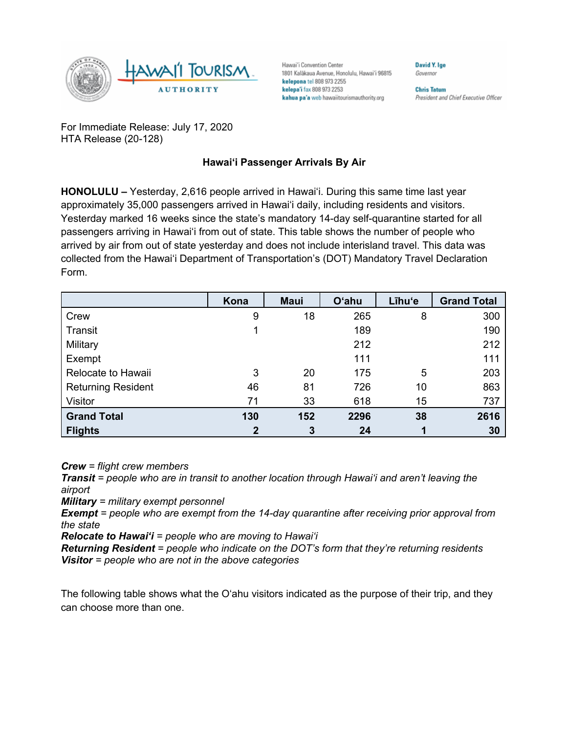

Hawai'i Convention Center 1801 Kalākaua Avenue, Honolulu, Hawai'i 96815 kelepona tel 808 973 2255 kelepa'i fax 808 973 2253 kahua pa'a web hawaiitourismauthority.org

Governor

**David V Ine** 

**Chris Tatum** President and Chief Executive Officer

For Immediate Release: July 17, 2020 HTA Release (20-128)

## **Hawai'i Passenger Arrivals By Air**

**HONOLULU –** Yesterday, 2,616 people arrived in Hawai'i. During this same time last year approximately 35,000 passengers arrived in Hawai'i daily, including residents and visitors. Yesterday marked 16 weeks since the state's mandatory 14-day self-quarantine started for all passengers arriving in Hawai'i from out of state. This table shows the number of people who arrived by air from out of state yesterday and does not include interisland travel. This data was collected from the Hawai'i Department of Transportation's (DOT) Mandatory Travel Declaration Form.

|                           | Kona        | <b>Maui</b> | <b>O'ahu</b> | Līhu'e | <b>Grand Total</b> |
|---------------------------|-------------|-------------|--------------|--------|--------------------|
| Crew                      | 9           | 18          | 265          | 8      | 300                |
| Transit                   |             |             | 189          |        | 190                |
| Military                  |             |             | 212          |        | 212                |
| Exempt                    |             |             | 111          |        | 111                |
| Relocate to Hawaii        | 3           | 20          | 175          | 5      | 203                |
| <b>Returning Resident</b> | 46          | 81          | 726          | 10     | 863                |
| Visitor                   | 71          | 33          | 618          | 15     | 737                |
| <b>Grand Total</b>        | 130         | 152         | 2296         | 38     | 2616               |
| <b>Flights</b>            | $\mathbf 2$ | 3           | 24           |        | 30                 |

*Crew = flight crew members*

*Transit = people who are in transit to another location through Hawai'i and aren't leaving the airport*

*Military = military exempt personnel*

*Exempt = people who are exempt from the 14-day quarantine after receiving prior approval from the state*

*Relocate to Hawai'i = people who are moving to Hawai'i*

*Returning Resident = people who indicate on the DOT's form that they're returning residents Visitor = people who are not in the above categories*

The following table shows what the O'ahu visitors indicated as the purpose of their trip, and they can choose more than one.